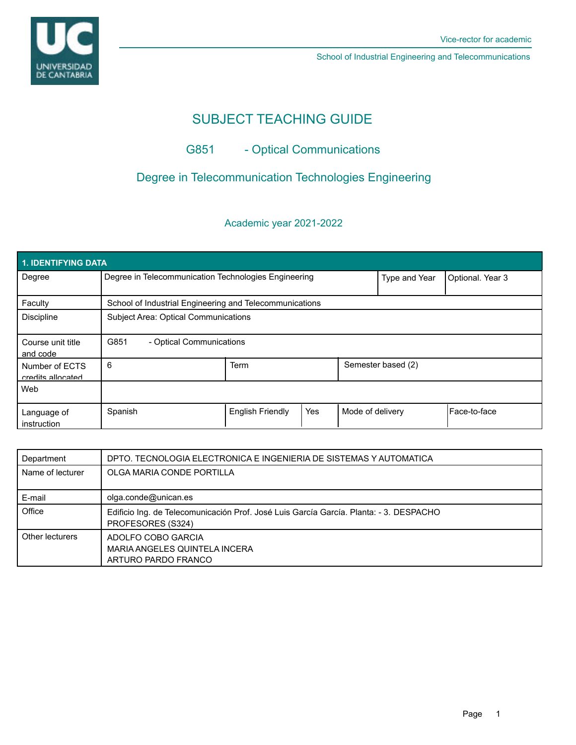

# SUBJECT TEACHING GUIDE

## G851 - Optical Communications

## Degree in Telecommunication Technologies Engineering

## Academic year 2021-2022

| 1. IDENTIFYING DATA                 |                                                         |                         |     |                  |                    |                  |
|-------------------------------------|---------------------------------------------------------|-------------------------|-----|------------------|--------------------|------------------|
| Degree                              | Degree in Telecommunication Technologies Engineering    |                         |     |                  | Type and Year      | Optional. Year 3 |
| Faculty                             | School of Industrial Engineering and Telecommunications |                         |     |                  |                    |                  |
| <b>Discipline</b>                   | <b>Subject Area: Optical Communications</b>             |                         |     |                  |                    |                  |
| Course unit title<br>and code       | G851<br>- Optical Communications                        |                         |     |                  |                    |                  |
| Number of ECTS<br>credits allocated | 6                                                       | Term                    |     |                  | Semester based (2) |                  |
| Web                                 |                                                         |                         |     |                  |                    |                  |
| Language of<br>instruction          | Spanish                                                 | <b>English Friendly</b> | Yes | Mode of delivery |                    | Face-to-face     |

| Department       | DPTO. TECNOLOGIA ELECTRONICA E INGENIERIA DE SISTEMAS Y AUTOMATICA                                          |
|------------------|-------------------------------------------------------------------------------------------------------------|
| Name of lecturer | OLGA MARIA CONDE PORTILLA                                                                                   |
|                  |                                                                                                             |
| E-mail           | olga.conde@unican.es                                                                                        |
| Office           | Edificio Ing. de Telecomunicación Prof. José Luis García García. Planta: - 3. DESPACHO<br>PROFESORES (S324) |
| Other lecturers  | ADOLFO COBO GARCIA<br>MARIA ANGELES QUINTELA INCERA<br>ARTURO PARDO FRANCO                                  |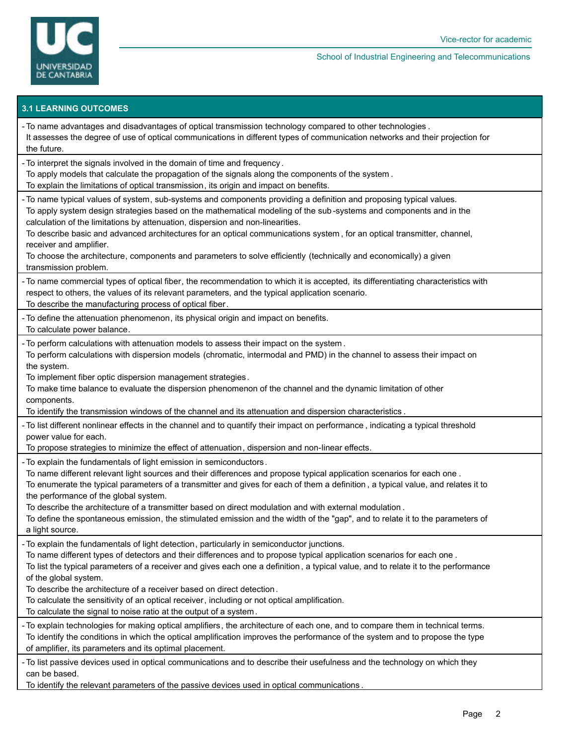

## **3.1 LEARNING OUTCOMES**

| - To name advantages and disadvantages of optical transmission technology compared to other technologies.<br>It assesses the degree of use of optical communications in different types of communication networks and their projection for<br>the future.                                                                                                                                                                                                                                                                                                                                                                               |
|-----------------------------------------------------------------------------------------------------------------------------------------------------------------------------------------------------------------------------------------------------------------------------------------------------------------------------------------------------------------------------------------------------------------------------------------------------------------------------------------------------------------------------------------------------------------------------------------------------------------------------------------|
| - To interpret the signals involved in the domain of time and frequency.<br>To apply models that calculate the propagation of the signals along the components of the system.<br>To explain the limitations of optical transmission, its origin and impact on benefits.                                                                                                                                                                                                                                                                                                                                                                 |
| - To name typical values of system, sub-systems and components providing a definition and proposing typical values.<br>To apply system design strategies based on the mathematical modeling of the sub-systems and components and in the<br>calculation of the limitations by attenuation, dispersion and non-linearities.<br>To describe basic and advanced architectures for an optical communications system, for an optical transmitter, channel,<br>receiver and amplifier.<br>To choose the architecture, components and parameters to solve efficiently (technically and economically) a given<br>transmission problem.          |
| - To name commercial types of optical fiber, the recommendation to which it is accepted, its differentiating characteristics with<br>respect to others, the values of its relevant parameters, and the typical application scenario.<br>To describe the manufacturing process of optical fiber.                                                                                                                                                                                                                                                                                                                                         |
| - To define the attenuation phenomenon, its physical origin and impact on benefits.<br>To calculate power balance.                                                                                                                                                                                                                                                                                                                                                                                                                                                                                                                      |
| - To perform calculations with attenuation models to assess their impact on the system.<br>To perform calculations with dispersion models (chromatic, intermodal and PMD) in the channel to assess their impact on<br>the system.<br>To implement fiber optic dispersion management strategies.<br>To make time balance to evaluate the dispersion phenomenon of the channel and the dynamic limitation of other<br>components.<br>To identify the transmission windows of the channel and its attenuation and dispersion characteristics.                                                                                              |
| - To list different nonlinear effects in the channel and to quantify their impact on performance, indicating a typical threshold<br>power value for each.<br>To propose strategies to minimize the effect of attenuation, dispersion and non-linear effects.                                                                                                                                                                                                                                                                                                                                                                            |
| - To explain the fundamentals of light emission in semiconductors.<br>To name different relevant light sources and their differences and propose typical application scenarios for each one.<br>To enumerate the typical parameters of a transmitter and gives for each of them a definition, a typical value, and relates it to<br>the performance of the global system.<br>To describe the architecture of a transmitter based on direct modulation and with external modulation.<br>To define the spontaneous emission, the stimulated emission and the width of the "gap", and to relate it to the parameters of<br>a light source. |
| - To explain the fundamentals of light detection, particularly in semiconductor junctions.<br>To name different types of detectors and their differences and to propose typical application scenarios for each one.<br>To list the typical parameters of a receiver and gives each one a definition, a typical value, and to relate it to the performance<br>of the global system.<br>To describe the architecture of a receiver based on direct detection.<br>To calculate the sensitivity of an optical receiver, including or not optical amplification.<br>To calculate the signal to noise ratio at the output of a system.        |
| - To explain technologies for making optical amplifiers, the architecture of each one, and to compare them in technical terms.<br>To identify the conditions in which the optical amplification improves the performance of the system and to propose the type<br>of amplifier, its parameters and its optimal placement.                                                                                                                                                                                                                                                                                                               |
| - To list passive devices used in optical communications and to describe their usefulness and the technology on which they<br>can be based.<br>To identify the relevant parameters of the passive devices used in optical communications.                                                                                                                                                                                                                                                                                                                                                                                               |
|                                                                                                                                                                                                                                                                                                                                                                                                                                                                                                                                                                                                                                         |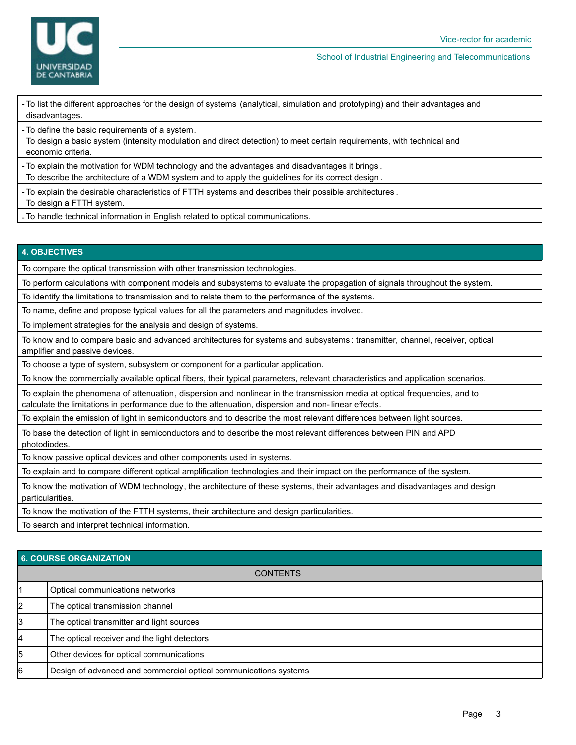

- To list the different approaches for the design of systems (analytical, simulation and prototyping) and their advantages and disadvantages.

To define the basic requirements of a system. -

To design a basic system (intensity modulation and direct detection) to meet certain requirements, with technical and economic criteria.

- To explain the motivation for WDM technology and the advantages and disadvantages it brings . To describe the architecture of a WDM system and to apply the guidelines for its correct design .

- To explain the desirable characteristics of FTTH systems and describes their possible architectures .

To design a FTTH system.

- To handle technical information in English related to optical communications.

### **4. OBJECTIVES**

To compare the optical transmission with other transmission technologies.

To perform calculations with component models and subsystems to evaluate the propagation of signals throughout the system.

To identify the limitations to transmission and to relate them to the performance of the systems.

To name, define and propose typical values for all the parameters and magnitudes involved.

To implement strategies for the analysis and design of systems.

To know and to compare basic and advanced architectures for systems and subsystems : transmitter, channel, receiver, optical amplifier and passive devices.

To choose a type of system, subsystem or component for a particular application.

To know the commercially available optical fibers, their typical parameters, relevant characteristics and application scenarios.

To explain the phenomena of attenuation, dispersion and nonlinear in the transmission media at optical frequencies, and to calculate the limitations in performance due to the attenuation, dispersion and non- linear effects.

To explain the emission of light in semiconductors and to describe the most relevant differences between light sources.

To base the detection of light in semiconductors and to describe the most relevant differences between PIN and APD photodiodes.

To know passive optical devices and other components used in systems.

To explain and to compare different optical amplification technologies and their impact on the performance of the system.

To know the motivation of WDM technology, the architecture of these systems, their advantages and disadvantages and design particularities.

To know the motivation of the FTTH systems, their architecture and design particularities.

To search and interpret technical information.

## **6. COURSE ORGANIZATION**

|    | <b>U. UUUINUL UNUANILATIUN</b>                                   |
|----|------------------------------------------------------------------|
|    | <b>CONTENTS</b>                                                  |
|    | Optical communications networks                                  |
| 2  | The optical transmission channel                                 |
| 3  | The optical transmitter and light sources                        |
| 4  | The optical receiver and the light detectors                     |
| 5  | Other devices for optical communications                         |
| l6 | Design of advanced and commercial optical communications systems |